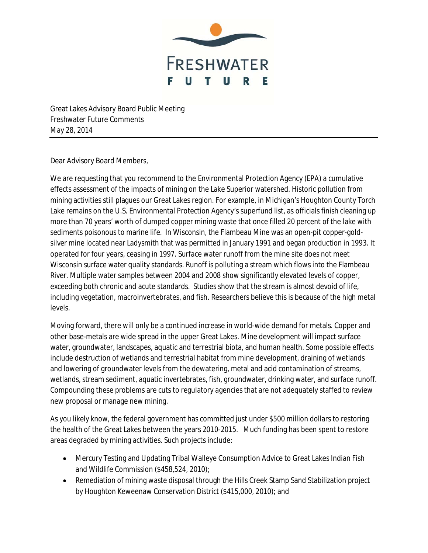

Great Lakes Advisory Board Public Meeting Freshwater Future Comments May 28, 2014

Dear Advisory Board Members,

We are requesting that you recommend to the Environmental Protection Agency (EPA) a cumulative effects assessment of the impacts of mining on the Lake Superior watershed. Historic pollution from mining activities still plagues our Great Lakes region. For example, in Michigan's Houghton County Torch Lake remains on the U.S. Environmental Protection Agency's superfund list, as officials finish cleaning up more than 70 years' worth of dumped copper mining waste that once filled 20 percent of the lake with sediments poisonous to marine life. In Wisconsin, the Flambeau Mine was an open-pit copper-goldsilver mine located near Ladysmith that was permitted in January 1991 and began production in 1993. It operated for four years, ceasing in 1997. Surface water runoff from the mine site does not meet Wisconsin surface water quality standards. Runoff is polluting a stream which flows into the Flambeau River. Multiple water samples between 2004 and 2008 show significantly elevated levels of copper, exceeding both chronic and acute standards. Studies show that the stream is almost devoid of life, including vegetation, macroinvertebrates, and fish. Researchers believe this is because of the high metal levels.

Moving forward, there will only be a continued increase in world-wide demand for metals. Copper and other base-metals are wide spread in the upper Great Lakes. Mine development will impact surface water, groundwater, landscapes, aquatic and terrestrial biota, and human health. Some possible effects include destruction of wetlands and terrestrial habitat from mine development, draining of wetlands and lowering of groundwater levels from the dewatering, metal and acid contamination of streams, wetlands, stream sediment, aquatic invertebrates, fish, groundwater, drinking water, and surface runoff. Compounding these problems are cuts to regulatory agencies that are not adequately staffed to review new proposal or manage new mining.

As you likely know, the federal government has committed just under \$500 million dollars to restoring the health of the Great Lakes between the years 2010-2015. Much funding has been spent to restore areas degraded by mining activities. Such projects include:

- Mercury Testing and Updating Tribal Walleye Consumption Advice to Great Lakes Indian Fish and Wildlife Commission (\$458,524, 2010);
- Remediation of mining waste disposal through the Hills Creek Stamp Sand Stabilization project by Houghton Keweenaw Conservation District (\$415,000, 2010); and